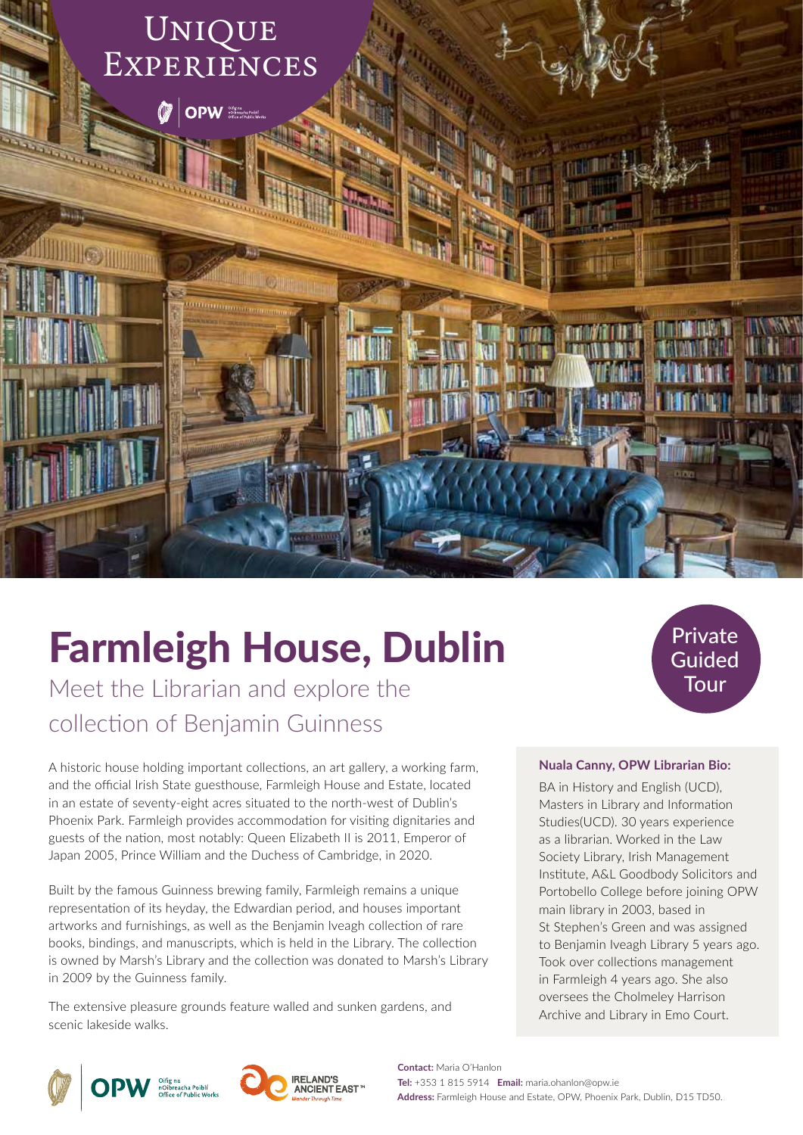

# Farmleigh House, Dublin

Meet the Librarian and explore the collection of Benjamin Guinness

A historic house holding important collections, an art gallery, a working farm, and the official Irish State guesthouse, Farmleigh House and Estate, located in an estate of seventy-eight acres situated to the north-west of Dublin's Phoenix Park. Farmleigh provides accommodation for visiting dignitaries and guests of the nation, most notably: Queen Elizabeth II is 2011, Emperor of Japan 2005, Prince William and the Duchess of Cambridge, in 2020.

Built by the famous Guinness brewing family, Farmleigh remains a unique representation of its heyday, the Edwardian period, and houses important artworks and furnishings, as well as the Benjamin Iveagh collection of rare books, bindings, and manuscripts, which is held in the Library. The collection is owned by Marsh's Library and the collection was donated to Marsh's Library in 2009 by the Guinness family.

The extensive pleasure grounds feature walled and sunken gardens, and scenic lakeside walks.







Private

#### **Nuala Canny, OPW Librarian Bio:**

BA in History and English (UCD), Masters in Library and Information Studies(UCD). 30 years experience as a librarian. Worked in the Law Society Library, Irish Management Institute, A&L Goodbody Solicitors and Portobello College before joining OPW main library in 2003, based in St Stephen's Green and was assigned to Benjamin Iveagh Library 5 years ago. Took over collections management in Farmleigh 4 years ago. She also oversees the Cholmeley Harrison Archive and Library in Emo Court.